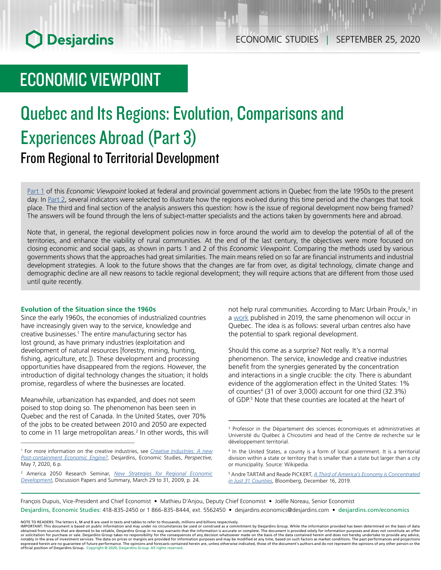# ECONOMIC VIEWPOINT

# Quebec and Its Regions: Evolution, Comparisons and Experiences Abroad (Part 3) From Regional to Territorial Development

[Part 1](https://www.desjardins.com/ressources/pdf/pv062011e.pdf?resVer=1591975844000) of this *Economic Viewpoint* looked at federal and provincial government actions in Quebec from the late 1950s to the present day. In [Part 2](https://www.desjardins.com/ressources/pdf/pv062023e.pdf?resVer=1592933059000), several indicators were selected to illustrate how the regions evolved during this time period and the changes that took place. The third and final section of the analysis answers this question: how is the issue of regional development now being framed? The answers will be found through the lens of subject-matter specialists and the actions taken by governments here and abroad.

Note that, in general, the regional development policies now in force around the world aim to develop the potential of all of the territories, and enhance the viability of rural communities. At the end of the last century, the objectives were more focused on closing economic and social gaps, as shown in parts 1 and 2 of this *Economic Viewpoint*. Comparing the methods used by various governments shows that the approaches had great similarities. The main means relied on so far are financial instruments and industrial development strategies. A look to the future shows that the changes are far from over, as digital technology, climate change and demographic decline are all new reasons to tackle regional development; they will require actions that are different from those used until quite recently.

#### **Evolution of the Situation since the 1960s**

Since the early 1960s, the economies of industrialized countries have increasingly given way to the service, knowledge and creative businesses.<sup>1</sup> The entire manufacturing sector has lost ground, as have primary industries (exploitation and development of natural resources [forestry, mining, hunting, fishing, agriculture, etc.]). These development and processing opportunities have disappeared from the regions. However, the introduction of digital technology changes the situation; it holds promise, regardless of where the businesses are located.

Meanwhile, urbanization has expanded, and does not seem poised to stop doing so. The phenomenon has been seen in Quebec and the rest of Canada. In the United States, over 70% of the jobs to be created between 2010 and 2050 are expected to come in 11 large metropolitan areas.<sup>2</sup> In other words, this will

not help rural communities. According to Marc Urbain Proulx,<sup>3</sup> in a [work](https://www.puq.ca/catalogue/livres/splendeurs-miseres-ressorts-des-regions-3816.html) published in 2019, the same phenomenon will occur in Quebec. The idea is as follows: several urban centres also have the potential to spark regional development.

Should this come as a surprise? Not really. It's a normal phenomenon. The service, knowledge and creative industries benefit from the synergies generated by the concentration and interactions in a single crucible: the city. There is abundant evidence of the agglomeration effect in the United States: 1% of counties4 (31 of over 3,000) account for one third (32.3%) of GDP.<sup>5</sup> Note that these counties are located at the heart of

François Dupuis, Vice-President and Chief Economist • Mathieu D'Anjou, Deputy Chief Economist • Joëlle Noreau, Senior Economist

Desjardins, Economic Studies: 418-835-2450 or 1 866-835-8444, ext. 5562450 • desjardins.economics@desjardins.com • desjardins.com/economics

<sup>1</sup> For more information on the creative industries, see *[Creative Industries: A new](https://www.desjardins.com/ressources/pdf/per0520e.pdf?resVer=1588854554000) [Post-containment Economic Engine?](https://www.desjardins.com/ressources/pdf/per0520e.pdf?resVer=1588854554000)*, Desjardins, Economic Studies, *Perspective*, May 7, 2020, 6 p.

<sup>2</sup> America 2050 Research Seminar, *[New Strategies for Regional Economic](https://rpa.org/uploads/pdfs/2050-New-Strategies-for-Regional-Economic-Development.pdf) [Development](https://rpa.org/uploads/pdfs/2050-New-Strategies-for-Regional-Economic-Development.pdf)*, Discussion Papers and Summary, March 29 to 31, 2009, p. 24.

<sup>3</sup> Professor in the Département des sciences économiques et administratives at Université du Québec à Chicoutimi and head of the Centre de recherche sur le développement territorial.

<sup>4</sup> In the United States, a county is a form of local government. It is a territorial division within a state or territory that is smaller than a state but larger than a city or municipality. Source: Wikipedia.

<sup>5</sup> Andre TARTAR and Reade PICKERT, *[A Third of America's Economy is Concentrated](https://www.bloomberg.com/graphics/2019-us-gdp-concentration-counties/) [in Just 31 Counties](https://www.bloomberg.com/graphics/2019-us-gdp-concentration-counties/)*, Bloomberg, December 16, 2019.

NOTE TO READERS: The letters k, M and B are used in texts and tables to refer to thousands, millions and billions respectively.<br>IMPORTANT: This document is based on public information and may under no circumstances be used obtained from sources that are deemed to be reliable, Desjardins Group in no way warrants that the information is accurate or complete. The document is provided solely for information purposes and does not constitute an of expressed herein are no guarantee of future performance. The opinions and forecasts contained herein are, unless otherwise indicated, those of the document's authors and do not represent the opinions of any other person or official position of Desjardins Group. Copyright © 2020, Desjardins Group. All rights reserved.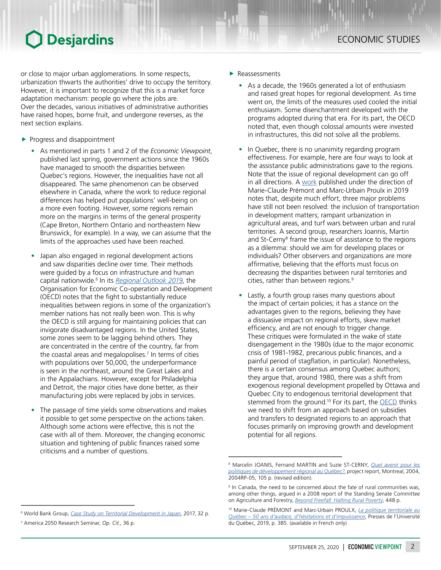## Desjardins

or close to major urban agglomerations. In some respects, urbanization thwarts the authorities' drive to occupy the territory. However, it is important to recognize that this is a market force adaptation mechanism: people go where the jobs are. Over the decades, various initiatives of administrative authorities have raised hopes, borne fruit, and undergone reverses, as the next section explains.

- $\blacktriangleright$  Progress and disappointment
	- As mentioned in parts 1 and 2 of the *Economic Viewpoint*, published last spring, government actions since the 1960s have managed to smooth the disparities between Quebec's regions. However, the inequalities have not all disappeared. The same phenomenon can be observed elsewhere in Canada, where the work to reduce regional differences has helped put populations' well-being on a more even footing. However, some regions remain more on the margins in terms of the general prosperity (Cape Breton, Northern Ontario and northeastern New Brunswick, for example). In a way, we can assume that the limits of the approaches used have been reached.
	- Japan also engaged in regional development actions and saw disparities decline over time. Their methods were guided by a focus on infrastructure and human capital nationwide.<sup>6</sup> In its *[Regional Outlook 2019](https://www.oecd-ilibrary.org/urban-rural-and-regional-development/oecd-regional-outlook-2019/summary/french_7acb0624-fr;jsessionid=fN4uBXGHtP7P1Y4-37e1volF.ip-10-240-5-167)*, the Organisation for Economic Co-operation and Development (OECD) notes that the fight to substantially reduce inequalities between regions in some of the organization's member nations has not really been won. This is why the OECD is still arguing for maintaining policies that can invigorate disadvantaged regions. In the United States, some zones seem to be lagging behind others. They are concentrated in the centre of the country, far from the coastal areas and megalopolises.7 In terms of cities with populations over 50,000, the underperformance is seen in the northeast, around the Great Lakes and in the Appalachians. However, except for Philadelphia and Detroit, the major cities have done better, as their manufacturing jobs were replaced by jobs in services.
	- The passage of time yields some observations and makes it possible to get some perspective on the actions taken. Although some actions were effective, this is not the case with all of them. Moreover, the changing economic situation and tightening of public finances raised some criticisms and a number of questions.

#### $\blacktriangleright$  Reassessments

- As a decade, the 1960s generated a lot of enthusiasm and raised great hopes for regional development. As time went on, the limits of the measures used cooled the initial enthusiasm. Some disenchantment developed with the programs adopted during that era. For its part, the OECD noted that, even though colossal amounts were invested in infrastructures, this did not solve all the problems.
- In Quebec, there is no unanimity regarding program effectiveness. For example, here are four ways to look at the assistance public administrations gave to the regions. Note that the issue of regional development can go off in all directions. A [work](https://www.puq.ca/catalogue/livres/politique-territoriale-quebec-3763.html) published under the direction of Marie-Claude Prémont and Marc-Urbain Proulx in 2019 notes that, despite much effort, three major problems have still not been resolved: the inclusion of transportation in development matters; rampant urbanization in agricultural areas, and turf wars between urban and rural territories. A second group, researchers Joannis, Martin and St-Cerny<sup>8</sup> frame the issue of assistance to the regions as a dilemma: should we aim for developing places or individuals? Other observers and organizations are more affirmative, believing that the efforts must focus on decreasing the disparities between rural territories and cities, rather than between regions.<sup>9</sup>
- Lastly, a fourth group raises many questions about the impact of certain policies; it has a stance on the advantages given to the regions, believing they have a dissuasive impact on regional efforts, skew market efficiency, and are not enough to trigger change. These critiques were formulated in the wake of state disengagement in the 1980s (due to the major economic crisis of 1981-1982, precarious public finances, and a painful period of stagflation, in particular). Nonetheless, there is a certain consensus among Quebec authors; they argue that, around 1980, there was a shift from exogenous regional development propelled by Ottawa and Quebec City to endogenous territorial development that stemmed from the ground.<sup>10</sup> For its part, the **OECD** thinks we need to shift from an approach based on subsidies and transfers to designated regions to an approach that focuses primarily on improving growth and development potential for all regions.

<sup>8</sup> Marcelin JOANIS, Fernand MARTIN and Suzie ST-CERNY, *[Quel avenir pour les](http://www.cirano.qc.ca/pdf/publication/2004RP-05.pdf) [politiques de développement régional au Québec?](http://www.cirano.qc.ca/pdf/publication/2004RP-05.pdf)*, project report, Montreal, 2004, 2004RP-05, 105 p. (revised edition).

<sup>9</sup> In Canada, the need to be concerned about the fate of rural communities was, among other things, argued in a 2008 report of the Standing Senate Committee on Agriculture and Forestry, *[Beyond Freefall: Halting Rural Poverty](https://sencanada.ca/content/sen/committee/392/agri/rep/rep09jun08-e.pdf)*, 448 p.

<sup>10</sup> Marie-Claude PRÉMONT and Marc-Urbain PROULX, *[La politique territoriale au](https://www.puq.ca/catalogue/livres/politique-territoriale-quebec-3763.html) [Québec – 50 ans d'audace, d'hésitations et d'impuissance](https://www.puq.ca/catalogue/livres/politique-territoriale-quebec-3763.html)*, Presses de l'Université du Québec, 2019, p. 385. (available in French only)

<sup>6</sup> World Bank Group, *[Case Study on Territorial Development in Japan](http://documents1.worldbank.org/curated/en/434651560830510154/pdf/Case-Study-on-Territorial-Development-in-Japan.pdf)*, 2017, 32 p.

<sup>7</sup> America 2050 Research Seminar, *Op. Cit.*, 36 p.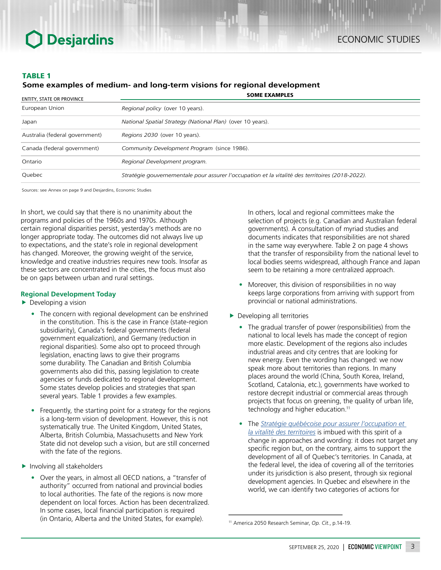#### *Some examples of medium- and long-term visions for regional development*

| <b>SOME EXAMPLES</b>                                                                            |
|-------------------------------------------------------------------------------------------------|
| Regional policy (over 10 years).                                                                |
| National Spatial Strategy (National Plan) (over 10 years).                                      |
| Regions 2030 (over 10 years).                                                                   |
| Community Development Program (since 1986).                                                     |
| Regional Development program.                                                                   |
| Stratégie gouvernementale pour assurer l'occupation et la vitalité des territoires (2018-2022). |
|                                                                                                 |

Sources: see Annex on page 9 and Desjardins, Economic Studies

In short, we could say that there is no unanimity about the programs and policies of the 1960s and 1970s. Although certain regional disparities persist, yesterday's methods are no longer appropriate today. The outcomes did not always live up to expectations, and the state's role in regional development has changed. Moreover, the growing weight of the service, knowledge and creative industries requires new tools. Insofar as these sectors are concentrated in the cities, the focus must also be on gaps between urban and rural settings.

### **Regional Development Today**

- $\blacktriangleright$  Developing a vision
	- The concern with regional development can be enshrined in the constitution. This is the case in France (state-region subsidiarity), Canada's federal governments (federal government equalization), and Germany (reduction in regional disparities). Some also opt to proceed through legislation, enacting laws to give their programs some durability. The Canadian and British Columbia governments also did this, passing legislation to create agencies or funds dedicated to regional development. Some states develop policies and strategies that span several years. Table 1 provides a few examples.
	- Frequently, the starting point for a strategy for the regions is a long-term vision of development. However, this is not systematically true. The United Kingdom, United States, Alberta, British Columbia, Massachusetts and New York State did not develop such a vision, but are still concerned with the fate of the regions.
- $\blacktriangleright$  Involving all stakeholders
	- Over the years, in almost all OECD nations, a "transfer of authority" occurred from national and provincial bodies to local authorities. The fate of the regions is now more dependent on local forces. Action has been decentralized. In some cases, local financial participation is required (in Ontario, Alberta and the United States, for example).

In others, local and regional committees make the selection of projects (e.g. Canadian and Australian federal governments). A consultation of myriad studies and documents indicates that responsibilities are not shared in the same way everywhere. Table 2 on page 4 shows that the transfer of responsibility from the national level to local bodies seems widespread, although France and Japan seem to be retaining a more centralized approach.

- Moreover, this division of responsibilities in no way keeps large corporations from arriving with support from provincial or national administrations.
- $\blacktriangleright$  Developing all territories
	- The gradual transfer of power (responsibilities) from the national to local levels has made the concept of region more elastic. Development of the regions also includes industrial areas and city centres that are looking for new energy. Even the wording has changed: we now speak more about territories than regions. In many places around the world (China, South Korea, Ireland, Scotland, Catalonia, etc.), governments have worked to restore decrepit industrial or commercial areas through projects that focus on greening, the quality of urban life, technology and higher education.<sup>11</sup>
	- The *[Stratégie québécoise pour assurer l'occupation et](https://www.mamh.gouv.qc.ca/ovt/strategie-gouvernementale/)  [la vitalité des territoires](https://www.mamh.gouv.qc.ca/ovt/strategie-gouvernementale/)* is imbued with this spirit of a change in approaches and wording: it does not target any specific region but, on the contrary, aims to support the development of all of Quebec's territories. In Canada, at the federal level, the idea of covering all of the territories under its jurisdiction is also present, through six regional development agencies. In Quebec and elsewhere in the world, we can identify two categories of actions for

<sup>11</sup> America 2050 Research Seminar, *Op. Cit.*, p.14-19.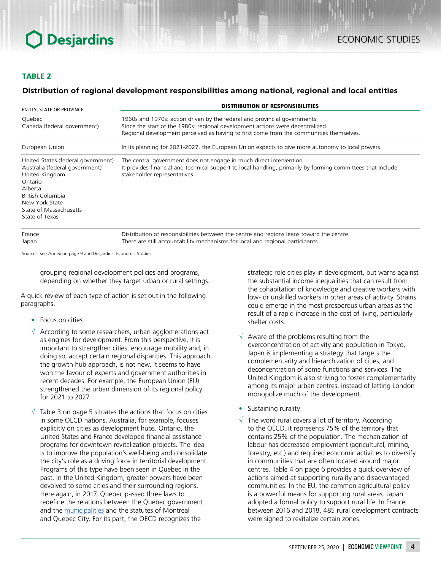## *Distribution of regional development responsibilities among national, regional and local entities*

| <b>ENTITY, STATE OR PROVINCE</b>                                                                                                                                                               | <b>DISTRIBUTION OF RESPONSIBILITIES</b>                                                                                                                                                                                                                |
|------------------------------------------------------------------------------------------------------------------------------------------------------------------------------------------------|--------------------------------------------------------------------------------------------------------------------------------------------------------------------------------------------------------------------------------------------------------|
| Quebec<br>Canada (federal government)                                                                                                                                                          | 1960s and 1970s: action driven by the federal and provincial governments.<br>Since the start of the 1980s: regional development actions were decentralized.<br>Regional development perceived as having to first come from the communities themselves. |
| European Union                                                                                                                                                                                 | In its planning for 2021-2027, the European Union expects to give more autonomy to local powers.                                                                                                                                                       |
| United States (federal government)<br>Australia (federal government)<br>United Kingdom<br>Ontario<br>Alberta<br>British Columbia<br>New York State<br>State of Massachusetts<br>State of Texas | The central government does not engage in much direct intervention.<br>It provides financial and technical support to local handling, primarily by forming committees that include<br>stakeholder representatives.                                     |
| France<br>Japan                                                                                                                                                                                | Distribution of responsibilities between the centre and regions leans toward the centre.<br>There are still accountability mechanisms for local and regional participants.                                                                             |

Sources: see Annex on page 9 and Desjardins, Economic Studies

grouping regional development policies and programs, depending on whether they target urban or rural settings.

A quick review of each type of action is set out in the following paragraphs.

- Focus on cities
- $\sqrt{\phantom{a}}$  According to some researchers, urban agglomerations act as engines for development. From this perspective, it is important to strengthen cities, encourage mobility and, in doing so, accept certain regional disparities. This approach, the growth hub approach, is not new. It seems to have won the favour of experts and government authorities in recent decades. For example, the European Union (EU) strengthened the urban dimension of its regional policy for 2021 to 2027.
- $\sqrt{\phantom{a}}$  Table 3 on page 5 situates the actions that focus on cities in some OECD nations. Australia, for example, focuses explicitly on cities as development hubs. Ontario, the United States and France developed financial assistance programs for downtown revitalization projects. The idea is to improve the population's well-being and consolidate the city's role as a driving force in territorial development. Programs of this type have been seen in Quebec in the past. In the United Kingdom, greater powers have been devolved to some cities and their surrounding regions. Here again, in 2017, Quebec passed three laws to redefine the relations between the Quebec government and the [municipalities](https://www.mamh.gouv.qc.ca/ministere/legislation/redefinition-des-relations-quebec-municipalites-et-statuts-des-villes-de-montreal-et-de-quebec/) and the statutes of Montreal and Quebec City. For its part, the OECD recognizes the

strategic role cities play in development, but warns against the substantial income inequalities that can result from the cohabitation of knowledge and creative workers with low- or unskilled workers in other areas of activity. Strains could emerge in the most prosperous urban areas as the result of a rapid increase in the cost of living, particularly shelter costs.

- $\sqrt{\ }$  Aware of the problems resulting from the overconcentration of activity and population in Tokyo, Japan is implementing a strategy that targets the complementarity and hierarchization of cities, and deconcentration of some functions and services. The United Kingdom is also striving to foster complementarity among its major urban centres, instead of letting London monopolize much of the development.
- Sustaining rurality
- $\sqrt{\phantom{a}}$  The word rural covers a lot of territory. According to the OECD, it represents 75% of the territory that contains 25% of the population. The mechanization of labour has decreased employment (agricultural, mining, forestry, etc.) and required economic activities to diversify in communities that are often located around major centres. Table 4 on page 6 provides a quick overview of actions aimed at supporting rurality and disadvantaged communities. In the EU, the common agricultural policy is a powerful means for supporting rural areas. Japan adopted a formal policy to support rural life. In France, between 2016 and 2018, 485 rural development contracts were signed to revitalize certain zones.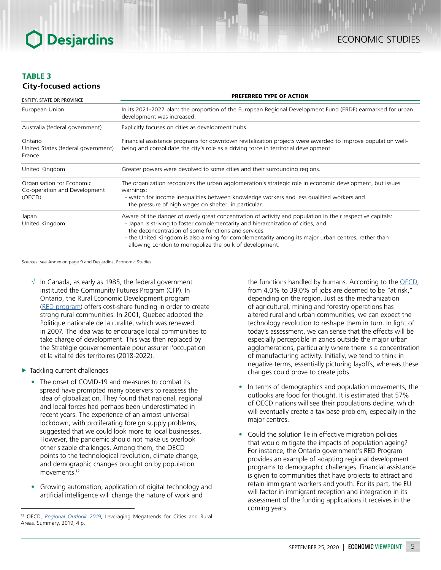## *City-focused actions*

| <b>ENTITY, STATE OR PROVINCE</b>                                    | <b>PREFERRED TYPE OF ACTION</b>                                                                                                                                                                                                                                                                                                                                                                                       |
|---------------------------------------------------------------------|-----------------------------------------------------------------------------------------------------------------------------------------------------------------------------------------------------------------------------------------------------------------------------------------------------------------------------------------------------------------------------------------------------------------------|
| European Union                                                      | In its 2021-2027 plan: the proportion of the European Regional Development Fund (ERDF) earmarked for urban<br>development was increased.                                                                                                                                                                                                                                                                              |
| Australia (federal government)                                      | Explicitly focuses on cities as development hubs.                                                                                                                                                                                                                                                                                                                                                                     |
| Ontario<br>United States (federal government)<br>France             | Financial assistance programs for downtown revitalization projects were awarded to improve population well-<br>being and consolidate the city's role as a driving force in territorial development.                                                                                                                                                                                                                   |
| United Kingdom                                                      | Greater powers were devolved to some cities and their surrounding regions.                                                                                                                                                                                                                                                                                                                                            |
| Organisation for Economic<br>Co-operation and Development<br>(OECD) | The organization recognizes the urban agglomeration's strategic role in economic development, but issues<br>warnings:<br>- watch for income inequalities between knowledge workers and less qualified workers and<br>the pressure of high wages on shelter, in particular.                                                                                                                                            |
| Japan<br>United Kingdom                                             | Aware of the danger of overly great concentration of activity and population in their respective capitals:<br>- Japan is striving to foster complementarity and hierarchization of cities, and<br>the deconcentration of some functions and services;<br>- the United Kingdom is also aiming for complementarity among its major urban centres, rather than<br>allowing London to monopolize the bulk of development. |

Sources: see Annex on page 9 and Desjardins, Economic Studies

- $\sqrt{ }$  In Canada, as early as 1985, the federal government instituted the Community Futures Program (CFP). In Ontario, the Rural Economic Development program (RED [program](https://www.ontario.ca/page/rural-economic-development-program)) offers cost-share funding in order to create strong rural communities. In 2001, Quebec adopted the Politique nationale de la ruralité, which was renewed in 2007. The idea was to encourage local communities to take charge of development. This was then replaced by the Stratégie gouvernementale pour assurer l'occupation et la vitalité des territoires (2018-2022).
- $\blacktriangleright$  Tackling current challenges
	- The onset of COVID-19 and measures to combat its spread have prompted many observers to reassess the idea of globalization. They found that national, regional and local forces had perhaps been underestimated in recent years. The experience of an almost universal lockdown, with proliferating foreign supply problems, suggested that we could look more to local businesses. However, the pandemic should not make us overlook other sizable challenges. Among them, the OECD points to the technological revolution, climate change, and demographic changes brought on by population movements.12
	- Growing automation, application of digital technology and artificial intelligence will change the nature of work and

the functions handled by humans. According to the [OECD](https://www.oecd-ilibrary.org/fr/urban-rural-and-regional-development/oecd-regional-outlook-2019/summary/english_964b90d8-en?parentId=http%3A%2F%2Finstance.metastore.ingenta.com%2Fcontent%2Fpublication%2F9789264312838-en), from 4.0% to 39.0% of jobs are deemed to be "at risk," depending on the region. Just as the mechanization of agricultural, mining and forestry operations has altered rural and urban communities, we can expect the technology revolution to reshape them in turn. In light of today's assessment, we can sense that the effects will be especially perceptible in zones outside the major urban agglomerations, particularly where there is a concentration of manufacturing activity. Initially, we tend to think in negative terms, essentially picturing layoffs, whereas these changes could prove to create jobs.

- In terms of demographics and population movements, the outlooks are food for thought. It is estimated that 57% of OECD nations will see their populations decline, which will eventually create a tax base problem, especially in the major centres.
- Could the solution lie in effective migration policies that would mitigate the impacts of population ageing? For instance, the Ontario government's RED Program provides an example of adapting regional development programs to demographic challenges. Financial assistance is given to communities that have projects to attract and retain immigrant workers and youth. For its part, the EU will factor in immigrant reception and integration in its assessment of the funding applications it receives in the coming years.

<sup>12</sup> OECD, *[Regional Outlook 2019](https://www.oecd-ilibrary.org/fr/urban-rural-and-regional-development/oecd-regional-outlook-2019/summary/english_964b90d8-en?parentId=http%3A%2F%2Finstance.metastore.ingenta.com%2Fcontent%2Fpublication%2F9789264312838-en)*, Leveraging Megatrends for Cities and Rural Areas. Summary, 2019, 4 p.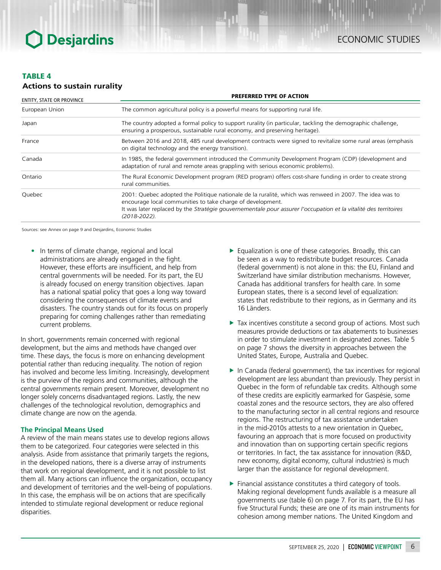### *Actions to sustain rurality*

| <b>ENTITY, STATE OR PROVINCE</b> | <b>PREFERRED TYPE OF ACTION</b>                                                                                                                                                                                                                                                                               |
|----------------------------------|---------------------------------------------------------------------------------------------------------------------------------------------------------------------------------------------------------------------------------------------------------------------------------------------------------------|
| European Union                   | The common agricultural policy is a powerful means for supporting rural life.                                                                                                                                                                                                                                 |
| Japan                            | The country adopted a formal policy to support rurality (in particular, tackling the demographic challenge,<br>ensuring a prosperous, sustainable rural economy, and preserving heritage).                                                                                                                    |
| France                           | Between 2016 and 2018, 485 rural development contracts were signed to revitalize some rural areas (emphasis<br>on digital technology and the energy transition).                                                                                                                                              |
| Canada                           | In 1985, the federal government introduced the Community Development Program (CDP) (development and<br>adaptation of rural and remote areas grappling with serious economic problems).                                                                                                                        |
| Ontario                          | The Rural Economic Development program (RED program) offers cost-share funding in order to create strong<br>rural communities.                                                                                                                                                                                |
| Quebec                           | 2001: Quebec adopted the Politique nationale de la ruralité, which was renweed in 2007. The idea was to<br>encourage local communities to take charge of development.<br>It was later replaced by the Stratégie gouvernementale pour assurer l'occupation et la vitalité des territoires<br>$(2018 - 2022)$ . |

Sources: see Annex on page 9 and Desjardins, Economic Studies

• In terms of climate change, regional and local administrations are already engaged in the fight. However, these efforts are insufficient, and help from central governments will be needed. For its part, the EU is already focused on energy transition objectives. Japan has a national spatial policy that goes a long way toward considering the consequences of climate events and disasters. The country stands out for its focus on properly preparing for coming challenges rather than remediating current problems.

In short, governments remain concerned with regional development, but the aims and methods have changed over time. These days, the focus is more on enhancing development potential rather than reducing inequality. The notion of region has involved and become less limiting. Increasingly, development is the purview of the regions and communities, although the central governments remain present. Moreover, development no longer solely concerns disadvantaged regions. Lastly, the new challenges of the technological revolution, demographics and climate change are now on the agenda.

#### **The Principal Means Used**

A review of the main means states use to develop regions allows them to be categorized. Four categories were selected in this analysis. Aside from assistance that primarily targets the regions, in the developed nations, there is a diverse array of instruments that work on regional development, and it is not possible to list them all. Many actions can influence the organization, occupancy and development of territories and the well-being of populations. In this case, the emphasis will be on actions that are specifically intended to stimulate regional development or reduce regional disparities.

- $\blacktriangleright$  Equalization is one of these categories. Broadly, this can be seen as a way to redistribute budget resources. Canada (federal government) is not alone in this: the EU, Finland and Switzerland have similar distribution mechanisms. However, Canada has additional transfers for health care. In some European states, there is a second level of equalization: states that redistribute to their regions, as in Germany and its 16 Länders.
- $\triangleright$  Tax incentives constitute a second group of actions. Most such measures provide deductions or tax abatements to businesses in order to stimulate investment in designated zones. Table 5 on page 7 shows the diversity in approaches between the United States, Europe, Australia and Quebec.
- $\blacktriangleright$  In Canada (federal government), the tax incentives for regional development are less abundant than previously. They persist in Quebec in the form of refundable tax credits. Although some of these credits are explicitly earmarked for Gaspésie, some coastal zones and the resource sectors, they are also offered to the manufacturing sector in all central regions and resource regions. The restructuring of tax assistance undertaken in the mid-2010s attests to a new orientation in Quebec, favouring an approach that is more focused on productivity and innovation than on supporting certain specific regions or territories. In fact, the tax assistance for innovation (R&D, new economy, digital economy, cultural industries) is much larger than the assistance for regional development.
- $\blacktriangleright$  Financial assistance constitutes a third category of tools. Making regional development funds available is a measure all governments use (table 6) on page 7. For its part, the EU has five Structural Funds; these are one of its main instruments for cohesion among member nations. The United Kingdom and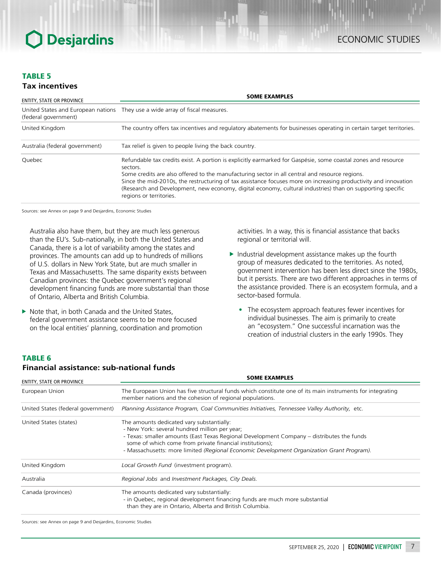### *Tax incentives*

| <b>ENTITY, STATE OR PROVINCE</b> | <b>SOME EXAMPLES</b>                                                                                                                                                                                                                                                                                                                                                                                                                                                                   |
|----------------------------------|----------------------------------------------------------------------------------------------------------------------------------------------------------------------------------------------------------------------------------------------------------------------------------------------------------------------------------------------------------------------------------------------------------------------------------------------------------------------------------------|
| (federal government)             | United States and European nations They use a wide array of fiscal measures.                                                                                                                                                                                                                                                                                                                                                                                                           |
| United Kingdom                   | The country offers tax incentives and regulatory abatements for businesses operating in certain target territories.                                                                                                                                                                                                                                                                                                                                                                    |
| Australia (federal government)   | Tax relief is given to people living the back country.                                                                                                                                                                                                                                                                                                                                                                                                                                 |
| Quebec                           | Refundable tax credits exist. A portion is explicitly earmarked for Gaspésie, some coastal zones and resource<br>sectors.<br>Some credits are also offered to the manufacturing sector in all central and resource regions.<br>Since the mid-2010s, the restructuring of tax assistance focuses more on increasing productivity and innovation<br>(Research and Development, new economy, digital economy, cultural industries) than on supporting specific<br>regions or territories. |

Sources: see Annex on page 9 and Desjardins, Economic Studies

Australia also have them, but they are much less generous than the EU's. Sub-nationally, in both the United States and Canada, there is a lot of variability among the states and provinces. The amounts can add up to hundreds of millions of U.S. dollars in New York State, but are much smaller in Texas and Massachusetts. The same disparity exists between Canadian provinces: the Quebec government's regional development financing funds are more substantial than those of Ontario, Alberta and British Columbia.

 $\blacktriangleright$  Note that, in both Canada and the United States, federal government assistance seems to be more focused on the local entities' planning, coordination and promotion activities. In a way, this is financial assistance that backs regional or territorial will.

- $\blacktriangleright$  Industrial development assistance makes up the fourth group of measures dedicated to the territories. As noted, government intervention has been less direct since the 1980s, but it persists. There are two different approaches in terms of the assistance provided. There is an ecosystem formula, and a sector-based formula.
	- The ecosystem approach features fewer incentives for individual businesses. The aim is primarily to create an "ecosystem." One successful incarnation was the creation of industrial clusters in the early 1990s. They

### TABLE 6

### *Financial assistance: sub-national funds*

| <b>ENTITY, STATE OR PROVINCE</b>   | <b>SOME EXAMPLES</b>                                                                                                                                                                                                                                                                                                                             |
|------------------------------------|--------------------------------------------------------------------------------------------------------------------------------------------------------------------------------------------------------------------------------------------------------------------------------------------------------------------------------------------------|
| European Union                     | The European Union has five structural funds which constitute one of its main instruments for integrating<br>member nations and the cohesion of regional populations.                                                                                                                                                                            |
| United States (federal government) | Planning Assistance Program, Coal Communities Initiatives, Tennessee Valley Authority, etc.                                                                                                                                                                                                                                                      |
| United States (states)             | The amounts dedicated vary substantially:<br>- New York: several hundred million per year;<br>- Texas: smaller amounts (East Texas Regional Development Company – distributes the funds<br>some of which come from private financial institutions);<br>- Massachusetts: more limited (Regional Economic Development Organization Grant Program). |
| United Kingdom                     | Local Growth Fund (investment program).                                                                                                                                                                                                                                                                                                          |
| Australia                          | Regional Jobs and Investment Packages, City Deals.                                                                                                                                                                                                                                                                                               |
| Canada (provinces)                 | The amounts dedicated vary substantially:<br>- in Quebec, regional development financing funds are much more substantial<br>than they are in Ontario, Alberta and British Columbia.                                                                                                                                                              |

Sources: see Annex on page 9 and Desjardins, Economic Studies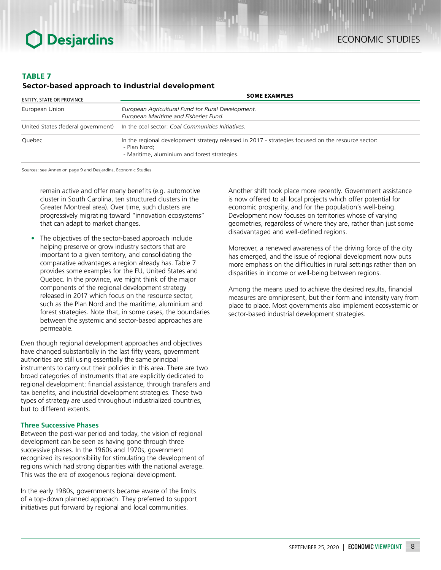### *Sector-based approach to industrial development*

| <b>ENTITY, STATE OR PROVINCE</b> | <b>SOME EXAMPLES</b>                                                                                                                                               |
|----------------------------------|--------------------------------------------------------------------------------------------------------------------------------------------------------------------|
| European Union                   | European Agricultural Fund for Rural Development.<br>European Maritime and Fisheries Fund.                                                                         |
|                                  | United States (federal government) In the coal sector: Coal Communities Initiatives.                                                                               |
| Quebec                           | In the regional development strategy released in 2017 - strategies focused on the resource sector:<br>- Plan Nord;<br>- Maritime, aluminium and forest strategies. |

Sources: see Annex on page 9 and Desjardins, Economic Studies

remain active and offer many benefits (e.g. automotive cluster in South Carolina, ten structured clusters in the Greater Montreal area). Over time, such clusters are progressively migrating toward "innovation ecosystems" that can adapt to market changes.

The objectives of the sector-based approach include helping preserve or grow industry sectors that are important to a given territory, and consolidating the comparative advantages a region already has. Table 7 provides some examples for the EU, United States and Quebec. In the province, we might think of the major components of the regional development strategy released in 2017 which focus on the resource sector, such as the Plan Nord and the maritime, aluminium and forest strategies. Note that, in some cases, the boundaries between the systemic and sector-based approaches are permeable.

Even though regional development approaches and objectives have changed substantially in the last fifty years, government authorities are still using essentially the same principal instruments to carry out their policies in this area. There are two broad categories of instruments that are explicitly dedicated to regional development: financial assistance, through transfers and tax benefits, and industrial development strategies. These two types of strategy are used throughout industrialized countries, but to different extents.

#### **Three Successive Phases**

Between the post-war period and today, the vision of regional development can be seen as having gone through three successive phases. In the 1960s and 1970s, government recognized its responsibility for stimulating the development of regions which had strong disparities with the national average. This was the era of exogenous regional development.

In the early 1980s, governments became aware of the limits of a top-down planned approach. They preferred to support initiatives put forward by regional and local communities.

Another shift took place more recently. Government assistance is now offered to all local projects which offer potential for economic prosperity, and for the population's well-being. Development now focuses on territories whose of varying geometries, regardless of where they are, rather than just some disadvantaged and well-defined regions.

Moreover, a renewed awareness of the driving force of the city has emerged, and the issue of regional development now puts more emphasis on the difficulties in rural settings rather than on disparities in income or well-being between regions.

Among the means used to achieve the desired results, financial measures are omnipresent, but their form and intensity vary from place to place. Most governments also implement ecosystemic or sector-based industrial development strategies.